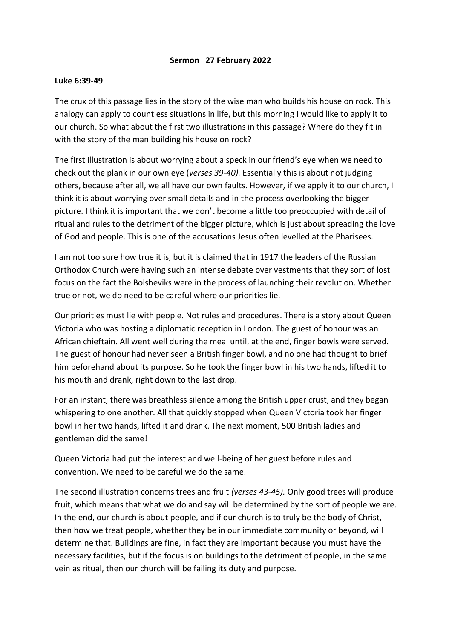## **Sermon 27 February 2022**

## **Luke 6:39-49**

The crux of this passage lies in the story of the wise man who builds his house on rock. This analogy can apply to countless situations in life, but this morning I would like to apply it to our church. So what about the first two illustrations in this passage? Where do they fit in with the story of the man building his house on rock?

The first illustration is about worrying about a speck in our friend's eye when we need to check out the plank in our own eye (*verses 39-40).* Essentially this is about not judging others, because after all, we all have our own faults. However, if we apply it to our church, I think it is about worrying over small details and in the process overlooking the bigger picture. I think it is important that we don't become a little too preoccupied with detail of ritual and rules to the detriment of the bigger picture, which is just about spreading the love of God and people. This is one of the accusations Jesus often levelled at the Pharisees.

I am not too sure how true it is, but it is claimed that in 1917 the leaders of the Russian Orthodox Church were having such an intense debate over vestments that they sort of lost focus on the fact the Bolsheviks were in the process of launching their revolution. Whether true or not, we do need to be careful where our priorities lie.

Our priorities must lie with people. Not rules and procedures. There is a story about Queen Victoria who was hosting a diplomatic reception in London. The guest of honour was an African chieftain. All went well during the meal until, at the end, finger bowls were served. The guest of honour had never seen a British finger bowl, and no one had thought to brief him beforehand about its purpose. So he took the finger bowl in his two hands, lifted it to his mouth and drank, right down to the last drop.

For an instant, there was breathless silence among the British upper crust, and they began whispering to one another. All that quickly stopped when Queen Victoria took her finger bowl in her two hands, lifted it and drank. The next moment, 500 British ladies and gentlemen did the same!

Queen Victoria had put the interest and well-being of her guest before rules and convention. We need to be careful we do the same.

The second illustration concerns trees and fruit *(verses 43-45).* Only good trees will produce fruit, which means that what we do and say will be determined by the sort of people we are. In the end, our church is about people, and if our church is to truly be the body of Christ, then how we treat people, whether they be in our immediate community or beyond, will determine that. Buildings are fine, in fact they are important because you must have the necessary facilities, but if the focus is on buildings to the detriment of people, in the same vein as ritual, then our church will be failing its duty and purpose.